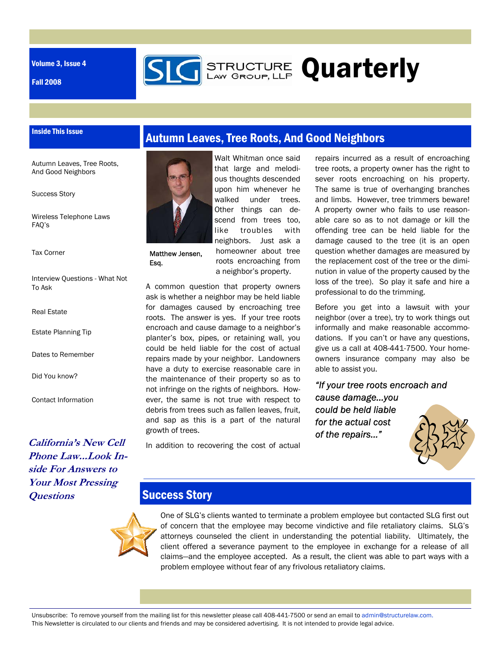Volume 3, Issue 4

Inside This Issue

Fall 2008



**STRUCTURE Quarterly** 

Autumn Leaves, Tree Roots, And Good Neighbors

Success Story

Wireless Telephone Laws FAQ's

Tax Corner

- Interview Questions What Not To Ask
- Real Estate
- Estate Planning Tip

Dates to Remember

Did You know?

Contact Information

**California's New Cell Phone Law...Look Inside For Answers to Your Most Pressing Questions** 



Matthew Jensen, Esq.

Walt Whitman once said that large and melodious thoughts descended upon him whenever he walked under trees. Other things can descend from trees too, like troubles with neighbors. Just ask a homeowner about tree roots encroaching from a neighbor's property.

A common question that property owners ask is whether a neighbor may be held liable for damages caused by encroaching tree roots. The answer is yes. If your tree roots encroach and cause damage to a neighbor's planter's box, pipes, or retaining wall, you could be held liable for the cost of actual repairs made by your neighbor. Landowners have a duty to exercise reasonable care in the maintenance of their property so as to not infringe on the rights of neighbors. However, the same is not true with respect to debris from trees such as fallen leaves, fruit, and sap as this is a part of the natural growth of trees.

In addition to recovering the cost of actual

repairs incurred as a result of encroaching tree roots, a property owner has the right to sever roots encroaching on his property. The same is true of overhanging branches and limbs. However, tree trimmers beware! A property owner who fails to use reasonable care so as to not damage or kill the offending tree can be held liable for the damage caused to the tree (it is an open question whether damages are measured by the replacement cost of the tree or the diminution in value of the property caused by the loss of the tree). So play it safe and hire a professional to do the trimming.

Before you get into a lawsuit with your neighbor (over a tree), try to work things out informally and make reasonable accommodations. If you can't or have any questions, give us a call at 408-441-7500. Your homeowners insurance company may also be able to assist you.

*"If your tree roots encroach and cause damage...you could be held liable for the actual cost of the repairs…"* 



### Success Story

One of SLG's clients wanted to terminate a problem employee but contacted SLG first out of concern that the employee may become vindictive and file retaliatory claims. SLG's attorneys counseled the client in understanding the potential liability. Ultimately, the client offered a severance payment to the employee in exchange for a release of all claims—and the employee accepted. As a result, the client was able to part ways with a problem employee without fear of any frivolous retaliatory claims.

Unsubscribe: To remove yourself from the mailing list for this newsletter please call 408-441-7500 or send an email to admin@structurelaw.com. This Newsletter is circulated to our clients and friends and may be considered advertising. It is not intended to provide legal advice.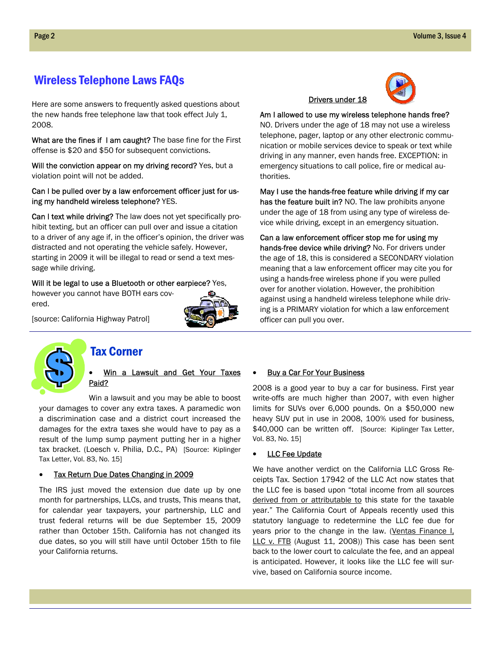## Wireless Telephone Laws FAQs

Here are some answers to frequently asked questions about the new hands free telephone law that took effect July 1, 2008.

What are the fines if I am caught? The base fine for the First offense is \$20 and \$50 for subsequent convictions.

Will the conviction appear on my driving record? Yes, but a violation point will not be added.

#### Can I be pulled over by a law enforcement officer just for using my handheld wireless telephone? YES.

Can I text while driving? The law does not yet specifically prohibit texting, but an officer can pull over and issue a citation to a driver of any age if, in the officer's opinion, the driver was distracted and not operating the vehicle safely. However, starting in 2009 it will be illegal to read or send a text message while driving.

#### Will it be legal to use a Bluetooth or other earpiece? Yes,



[source: California Highway Patrol]

however you cannot have BOTH ears cov-



ered.

### Tax Corner

#### Win a Lawsuit and Get Your Taxes Paid?

Win a lawsuit and you may be able to boost your damages to cover any extra taxes. A paramedic won a discrimination case and a district court increased the damages for the extra taxes she would have to pay as a result of the lump sump payment putting her in a higher tax bracket. (Loesch v. Philia, D.C., PA) [Source: Kiplinger Tax Letter, Vol. 83, No. 15]

#### • Tax Return Due Dates Changing in 2009

The IRS just moved the extension due date up by one month for partnerships, LLCs, and trusts, This means that, for calendar year taxpayers, your partnership, LLC and trust federal returns will be due September 15, 2009 rather than October 15th. California has not changed its due dates, so you will still have until October 15th to file your California returns.

## Drivers under 18



Am I allowed to use my wireless telephone hands free? NO. Drivers under the age of 18 may not use a wireless telephone, pager, laptop or any other electronic communication or mobile services device to speak or text while driving in any manner, even hands free. EXCEPTION: in emergency situations to call police, fire or medical authorities.

May I use the hands-free feature while driving if my car has the feature built in? NO. The law prohibits anyone under the age of 18 from using any type of wireless device while driving, except in an emergency situation.

Can a law enforcement officer stop me for using my hands-free device while driving? No. For drivers under the age of 18, this is considered a SECONDARY violation meaning that a law enforcement officer may cite you for using a hands-free wireless phone if you were pulled over for another violation. However, the prohibition against using a handheld wireless telephone while driving is a PRIMARY violation for which a law enforcement officer can pull you over.

#### **Buy a Car For Your Business**

2008 is a good year to buy a car for business. First year write-offs are much higher than 2007, with even higher limits for SUVs over 6,000 pounds. On a \$50,000 new heavy SUV put in use in 2008, 100% used for business, \$40,000 can be written off. [Source: Kiplinger Tax Letter, Vol. 83, No. 15]

#### **LLC Fee Update**

We have another verdict on the California LLC Gross Receipts Tax. Section 17942 of the LLC Act now states that the LLC fee is based upon "total income from all sources derived from or attributable to this state for the taxable year." The California Court of Appeals recently used this statutory language to redetermine the LLC fee due for years prior to the change in the law. (Ventas Finance I, LLC v. FTB (August 11, 2008)) This case has been sent back to the lower court to calculate the fee, and an appeal is anticipated. However, it looks like the LLC fee will survive, based on California source income.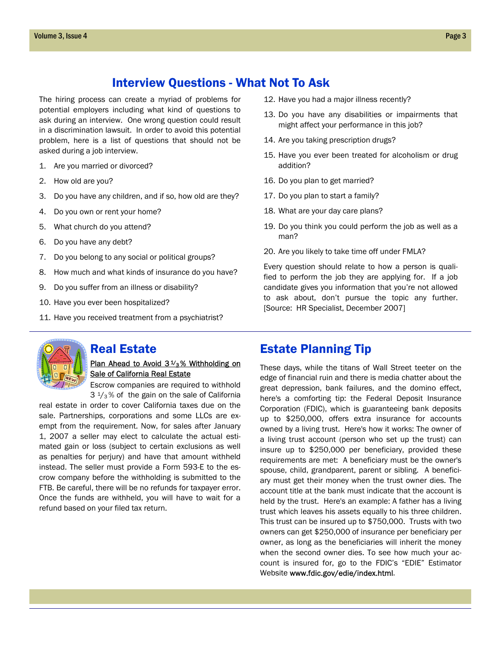## Interview Questions - What Not To Ask

The hiring process can create a myriad of problems for potential employers including what kind of questions to ask during an interview. One wrong question could result in a discrimination lawsuit. In order to avoid this potential problem, here is a list of questions that should not be asked during a job interview.

- 1. Are you married or divorced?
- 2. How old are you?
- 3. Do you have any children, and if so, how old are they?
- 4. Do you own or rent your home?
- 5. What church do you attend?
- 6. Do you have any debt?
- 7. Do you belong to any social or political groups?
- 8. How much and what kinds of insurance do you have?
- 9. Do you suffer from an illness or disability?
- 10. Have you ever been hospitalized?
- 11. Have you received treatment from a psychiatrist?
- 12. Have you had a major illness recently?
- 13. Do you have any disabilities or impairments that might affect your performance in this job?
- 14. Are you taking prescription drugs?
- 15. Have you ever been treated for alcoholism or drug addition?
- 16. Do you plan to get married?
- 17. Do you plan to start a family?
- 18. What are your day care plans?
- 19. Do you think you could perform the job as well as a man?
- 20. Are you likely to take time off under FMLA?

Every question should relate to how a person is qualified to perform the job they are applying for. If a job candidate gives you information that you're not allowed to ask about, don't pursue the topic any further. [Source: HR Specialist, December 2007]



#### Real Estate

Plan Ahead to Avoid  $3\frac{1}{3}\%$  Withholding on Sale of California Real Estate

Escrow companies are required to withhold  $3\frac{1}{3}\%$  of the gain on the sale of California

real estate in order to cover California taxes due on the sale. Partnerships, corporations and some LLCs are exempt from the requirement. Now, for sales after January 1, 2007 a seller may elect to calculate the actual estimated gain or loss (subject to certain exclusions as well as penalties for perjury) and have that amount withheld instead. The seller must provide a Form 593-E to the escrow company before the withholding is submitted to the FTB. Be careful, there will be no refunds for taxpayer error. Once the funds are withheld, you will have to wait for a refund based on your filed tax return.

## Estate Planning Tip

These days, while the titans of Wall Street teeter on the edge of financial ruin and there is media chatter about the great depression, bank failures, and the domino effect, here's a comforting tip: the Federal Deposit Insurance Corporation (FDIC), which is guaranteeing bank deposits up to \$250,000, offers extra insurance for accounts owned by a living trust. Here's how it works: The owner of a living trust account (person who set up the trust) can insure up to \$250,000 per beneficiary, provided these requirements are met: A beneficiary must be the owner's spouse, child, grandparent, parent or sibling. A beneficiary must get their money when the trust owner dies. The account title at the bank must indicate that the account is held by the trust. Here's an example: A father has a living trust which leaves his assets equally to his three children. This trust can be insured up to \$750,000. Trusts with two owners can get \$250,000 of insurance per beneficiary per owner, as long as the beneficiaries will inherit the money when the second owner dies. To see how much your account is insured for, go to the FDIC's "EDIE" Estimator Website www.fdic.gov/edie/index.html.